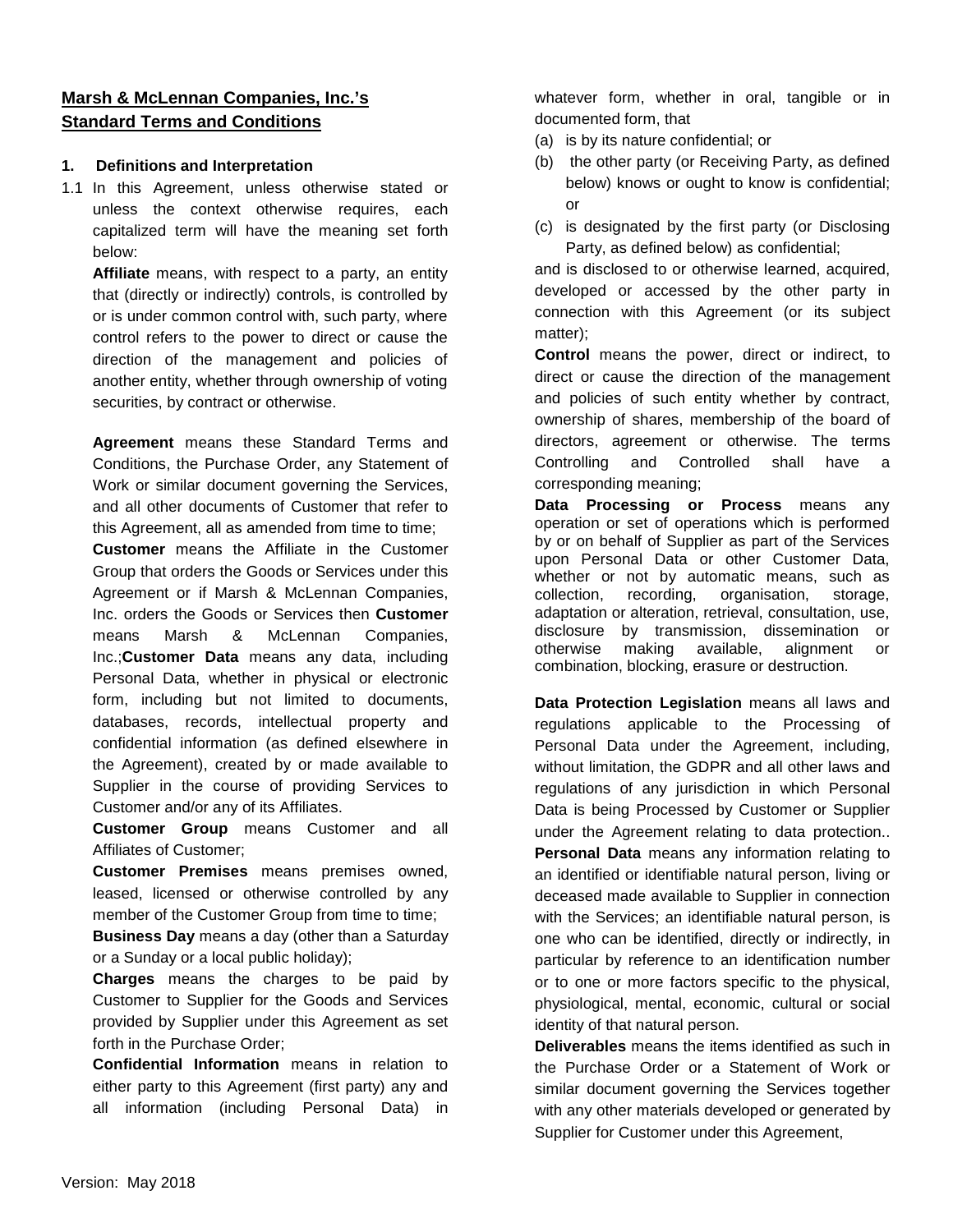# **Marsh & McLennan Companies, Inc.'s Standard Terms and Conditions**

#### **1. Definitions and Interpretation**

1.1 In this Agreement, unless otherwise stated or unless the context otherwise requires, each capitalized term will have the meaning set forth below:

**Affiliate** means, with respect to a party, an entity that (directly or indirectly) controls, is controlled by or is under common control with, such party, where control refers to the power to direct or cause the direction of the management and policies of another entity, whether through ownership of voting securities, by contract or otherwise.

**Agreement** means these Standard Terms and Conditions, the Purchase Order, any Statement of Work or similar document governing the Services, and all other documents of Customer that refer to this Agreement, all as amended from time to time;

**Customer** means the Affiliate in the Customer Group that orders the Goods or Services under this Agreement or if Marsh & McLennan Companies, Inc. orders the Goods or Services then **Customer** means Marsh & McLennan Companies, Inc.;**Customer Data** means any data, including Personal Data, whether in physical or electronic form, including but not limited to documents, databases, records, intellectual property and confidential information (as defined elsewhere in the Agreement), created by or made available to Supplier in the course of providing Services to Customer and/or any of its Affiliates.

**Customer Group** means Customer and all Affiliates of Customer;

**Customer Premises** means premises owned, leased, licensed or otherwise controlled by any member of the Customer Group from time to time;

**Business Day** means a day (other than a Saturday or a Sunday or a local public holiday);

**Charges** means the charges to be paid by Customer to Supplier for the Goods and Services provided by Supplier under this Agreement as set forth in the Purchase Order;

**Confidential Information** means in relation to either party to this Agreement (first party) any and all information (including Personal Data) in

whatever form, whether in oral, tangible or in documented form, that

- (a) is by its nature confidential; or
- (b) the other party (or Receiving Party, as defined below) knows or ought to know is confidential; or
- (c) is designated by the first party (or Disclosing Party, as defined below) as confidential;

and is disclosed to or otherwise learned, acquired, developed or accessed by the other party in connection with this Agreement (or its subject matter);

**Control** means the power, direct or indirect, to direct or cause the direction of the management and policies of such entity whether by contract, ownership of shares, membership of the board of directors, agreement or otherwise. The terms Controlling and Controlled shall have a corresponding meaning;

**Data Processing or Process** means any operation or set of operations which is performed by or on behalf of Supplier as part of the Services upon Personal Data or other Customer Data, whether or not by automatic means, such as collection, recording, organisation, storage, adaptation or alteration, retrieval, consultation, use, disclosure by transmission, dissemination or otherwise making available, alignment or combination, blocking, erasure or destruction.

**Data Protection Legislation** means all laws and regulations applicable to the Processing of Personal Data under the Agreement, including, without limitation, the GDPR and all other laws and regulations of any jurisdiction in which Personal Data is being Processed by Customer or Supplier under the Agreement relating to data protection..

**Personal Data** means any information relating to an identified or identifiable natural person, living or deceased made available to Supplier in connection with the Services; an identifiable natural person, is one who can be identified, directly or indirectly, in particular by reference to an identification number or to one or more factors specific to the physical, physiological, mental, economic, cultural or social identity of that natural person.

**Deliverables** means the items identified as such in the Purchase Order or a Statement of Work or similar document governing the Services together with any other materials developed or generated by Supplier for Customer under this Agreement,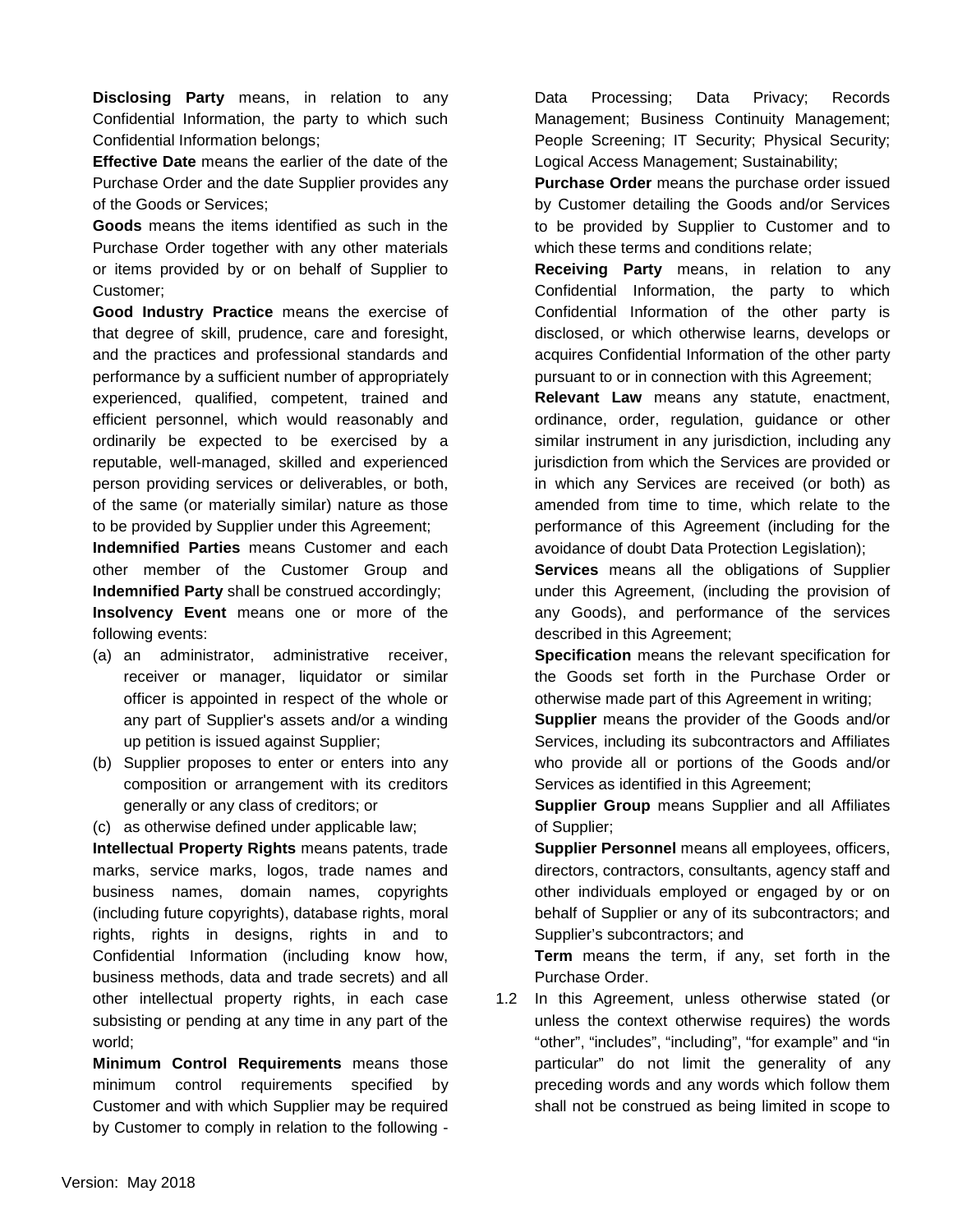**Disclosing Party** means, in relation to any Confidential Information, the party to which such Confidential Information belongs;

**Effective Date** means the earlier of the date of the Purchase Order and the date Supplier provides any of the Goods or Services;

**Goods** means the items identified as such in the Purchase Order together with any other materials or items provided by or on behalf of Supplier to Customer;

**Good Industry Practice** means the exercise of that degree of skill, prudence, care and foresight, and the practices and professional standards and performance by a sufficient number of appropriately experienced, qualified, competent, trained and efficient personnel, which would reasonably and ordinarily be expected to be exercised by a reputable, well-managed, skilled and experienced person providing services or deliverables, or both, of the same (or materially similar) nature as those to be provided by Supplier under this Agreement;

**Indemnified Parties** means Customer and each other member of the Customer Group and **Indemnified Party** shall be construed accordingly; **Insolvency Event** means one or more of the following events:

- (a) an administrator, administrative receiver, receiver or manager, liquidator or similar officer is appointed in respect of the whole or any part of Supplier's assets and/or a winding up petition is issued against Supplier;
- (b) Supplier proposes to enter or enters into any composition or arrangement with its creditors generally or any class of creditors; or
- (c) as otherwise defined under applicable law;

**Intellectual Property Rights** means patents, trade marks, service marks, logos, trade names and business names, domain names, copyrights (including future copyrights), database rights, moral rights, rights in designs, rights in and to Confidential Information (including know how, business methods, data and trade secrets) and all other intellectual property rights, in each case subsisting or pending at any time in any part of the world;

**Minimum Control Requirements** means those minimum control requirements specified by Customer and with which Supplier may be required by Customer to comply in relation to the following -

Data Processing; Data Privacy; Records Management; Business Continuity Management; People Screening; IT Security; Physical Security; Logical Access Management; Sustainability;

**Purchase Order** means the purchase order issued by Customer detailing the Goods and/or Services to be provided by Supplier to Customer and to which these terms and conditions relate;

**Receiving Party** means, in relation to any Confidential Information, the party to which Confidential Information of the other party is disclosed, or which otherwise learns, develops or acquires Confidential Information of the other party pursuant to or in connection with this Agreement;

**Relevant Law** means any statute, enactment, ordinance, order, regulation, guidance or other similar instrument in any jurisdiction, including any jurisdiction from which the Services are provided or in which any Services are received (or both) as amended from time to time, which relate to the performance of this Agreement (including for the avoidance of doubt Data Protection Legislation);

**Services** means all the obligations of Supplier under this Agreement, (including the provision of any Goods), and performance of the services described in this Agreement;

**Specification** means the relevant specification for the Goods set forth in the Purchase Order or otherwise made part of this Agreement in writing;

**Supplier** means the provider of the Goods and/or Services, including its subcontractors and Affiliates who provide all or portions of the Goods and/or Services as identified in this Agreement;

**Supplier Group** means Supplier and all Affiliates of Supplier;

**Supplier Personnel** means all employees, officers, directors, contractors, consultants, agency staff and other individuals employed or engaged by or on behalf of Supplier or any of its subcontractors; and Supplier's subcontractors; and

**Term** means the term, if any, set forth in the Purchase Order.

1.2 In this Agreement, unless otherwise stated (or unless the context otherwise requires) the words "other", "includes", "including", "for example" and "in particular" do not limit the generality of any preceding words and any words which follow them shall not be construed as being limited in scope to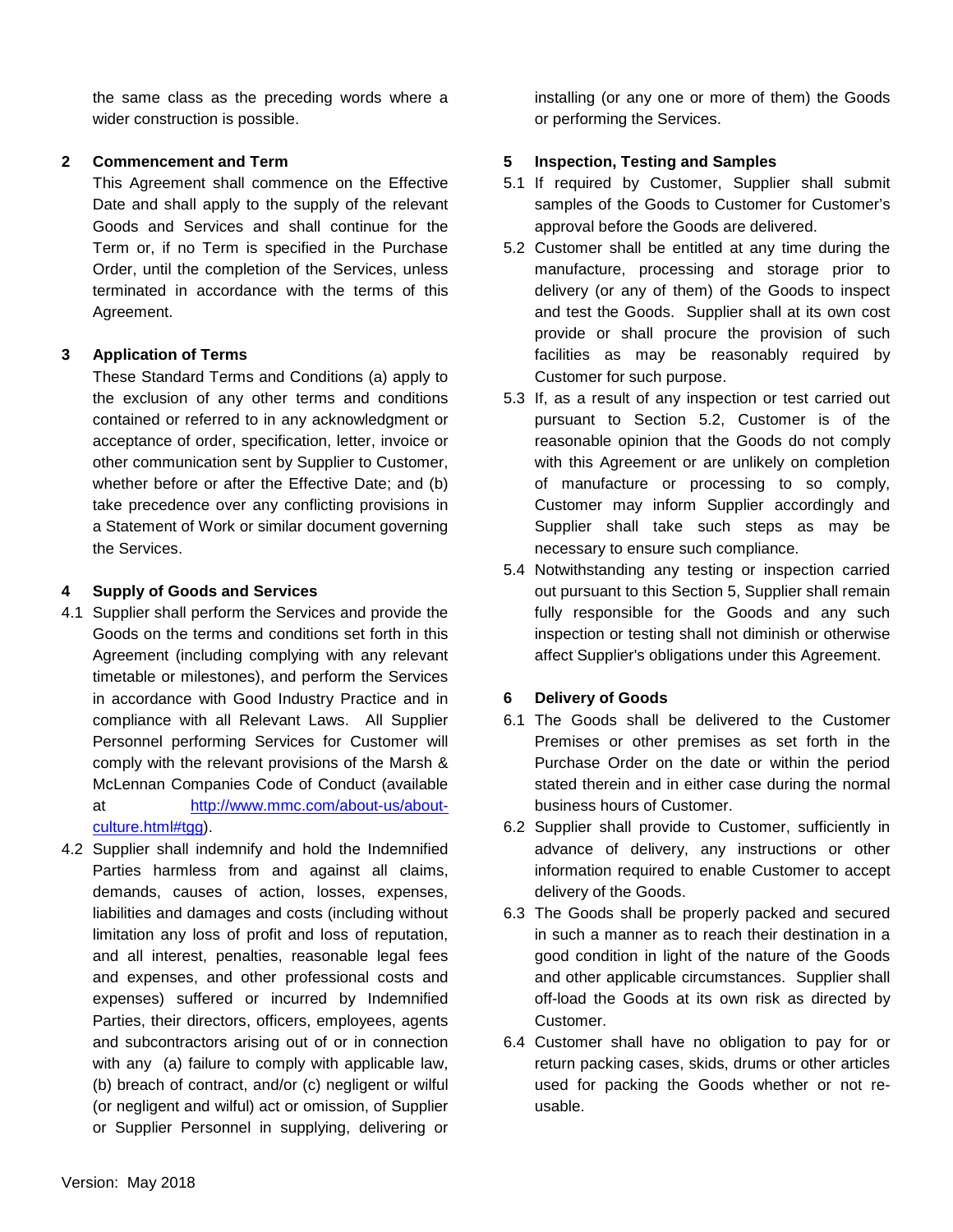the same class as the preceding words where a wider construction is possible.

# **2 Commencement and Term**

This Agreement shall commence on the Effective Date and shall apply to the supply of the relevant Goods and Services and shall continue for the Term or, if no Term is specified in the Purchase Order, until the completion of the Services, unless terminated in accordance with the terms of this Agreement.

# **3 Application of Terms**

These Standard Terms and Conditions (a) apply to the exclusion of any other terms and conditions contained or referred to in any acknowledgment or acceptance of order, specification, letter, invoice or other communication sent by Supplier to Customer, whether before or after the Effective Date; and (b) take precedence over any conflicting provisions in a Statement of Work or similar document governing the Services.

# **4 Supply of Goods and Services**

- 4.1 Supplier shall perform the Services and provide the Goods on the terms and conditions set forth in this Agreement (including complying with any relevant timetable or milestones), and perform the Services in accordance with Good Industry Practice and in compliance with all Relevant Laws. All Supplier Personnel performing Services for Customer will comply with the relevant provisions of the Marsh & McLennan Companies Code of Conduct (available at http://www.mmc.com/about-us/aboutculture.html#tgg).
- 4.2 Supplier shall indemnify and hold the Indemnified Parties harmless from and against all claims, demands, causes of action, losses, expenses, liabilities and damages and costs (including without limitation any loss of profit and loss of reputation, and all interest, penalties, reasonable legal fees and expenses, and other professional costs and expenses) suffered or incurred by Indemnified Parties, their directors, officers, employees, agents and subcontractors arising out of or in connection with any (a) failure to comply with applicable law, (b) breach of contract, and/or (c) negligent or wilful (or negligent and wilful) act or omission, of Supplier or Supplier Personnel in supplying, delivering or

installing (or any one or more of them) the Goods or performing the Services.

# **5 Inspection, Testing and Samples**

- 5.1 If required by Customer, Supplier shall submit samples of the Goods to Customer for Customer's approval before the Goods are delivered.
- 5.2 Customer shall be entitled at any time during the manufacture, processing and storage prior to delivery (or any of them) of the Goods to inspect and test the Goods. Supplier shall at its own cost provide or shall procure the provision of such facilities as may be reasonably required by Customer for such purpose.
- 5.3 If, as a result of any inspection or test carried out pursuant to Section 5.2, Customer is of the reasonable opinion that the Goods do not comply with this Agreement or are unlikely on completion of manufacture or processing to so comply, Customer may inform Supplier accordingly and Supplier shall take such steps as may be necessary to ensure such compliance.
- 5.4 Notwithstanding any testing or inspection carried out pursuant to this Section 5, Supplier shall remain fully responsible for the Goods and any such inspection or testing shall not diminish or otherwise affect Supplier's obligations under this Agreement.

# **6 Delivery of Goods**

- 6.1 The Goods shall be delivered to the Customer Premises or other premises as set forth in the Purchase Order on the date or within the period stated therein and in either case during the normal business hours of Customer.
- 6.2 Supplier shall provide to Customer, sufficiently in advance of delivery, any instructions or other information required to enable Customer to accept delivery of the Goods.
- 6.3 The Goods shall be properly packed and secured in such a manner as to reach their destination in a good condition in light of the nature of the Goods and other applicable circumstances. Supplier shall off-load the Goods at its own risk as directed by Customer.
- 6.4 Customer shall have no obligation to pay for or return packing cases, skids, drums or other articles used for packing the Goods whether or not reusable.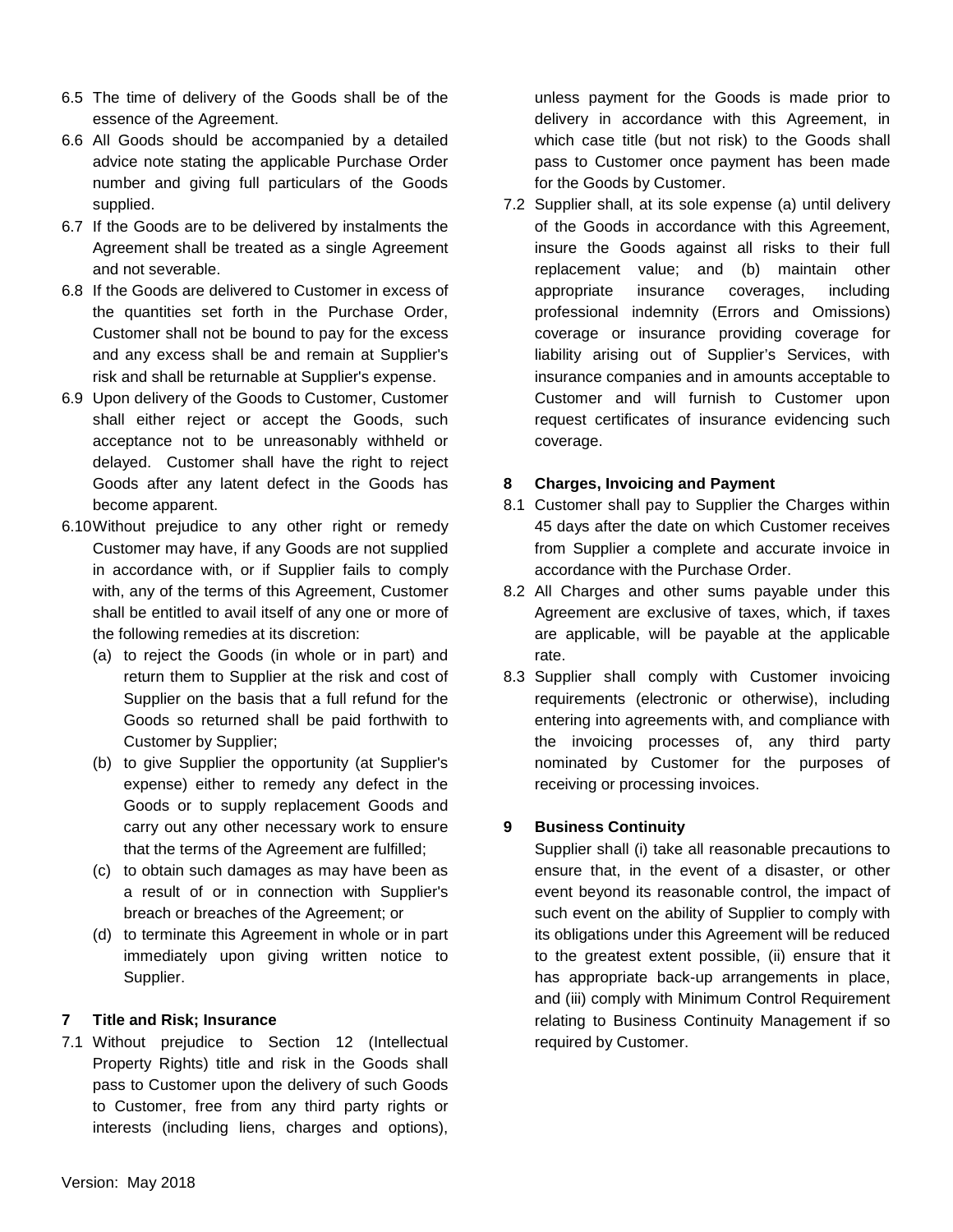- 6.5 The time of delivery of the Goods shall be of the essence of the Agreement.
- 6.6 All Goods should be accompanied by a detailed advice note stating the applicable Purchase Order number and giving full particulars of the Goods supplied.
- 6.7 If the Goods are to be delivered by instalments the Agreement shall be treated as a single Agreement and not severable.
- 6.8 If the Goods are delivered to Customer in excess of the quantities set forth in the Purchase Order, Customer shall not be bound to pay for the excess and any excess shall be and remain at Supplier's risk and shall be returnable at Supplier's expense.
- 6.9 Upon delivery of the Goods to Customer, Customer shall either reject or accept the Goods, such acceptance not to be unreasonably withheld or delayed. Customer shall have the right to reject Goods after any latent defect in the Goods has become apparent.
- 6.10 Without prejudice to any other right or remedy Customer may have, if any Goods are not supplied in accordance with, or if Supplier fails to comply with, any of the terms of this Agreement, Customer shall be entitled to avail itself of any one or more of the following remedies at its discretion:
	- (a) to reject the Goods (in whole or in part) and return them to Supplier at the risk and cost of Supplier on the basis that a full refund for the Goods so returned shall be paid forthwith to Customer by Supplier;
	- (b) to give Supplier the opportunity (at Supplier's expense) either to remedy any defect in the Goods or to supply replacement Goods and carry out any other necessary work to ensure that the terms of the Agreement are fulfilled;
	- (c) to obtain such damages as may have been as a result of or in connection with Supplier's breach or breaches of the Agreement; or
	- (d) to terminate this Agreement in whole or in part immediately upon giving written notice to Supplier.

#### **7 Title and Risk; Insurance**

7.1 Without prejudice to Section 12 (Intellectual Property Rights) title and risk in the Goods shall pass to Customer upon the delivery of such Goods to Customer, free from any third party rights or interests (including liens, charges and options),

unless payment for the Goods is made prior to delivery in accordance with this Agreement, in which case title (but not risk) to the Goods shall pass to Customer once payment has been made for the Goods by Customer.

7.2 Supplier shall, at its sole expense (a) until delivery of the Goods in accordance with this Agreement, insure the Goods against all risks to their full replacement value; and (b) maintain other appropriate insurance coverages, including professional indemnity (Errors and Omissions) coverage or insurance providing coverage for liability arising out of Supplier's Services, with insurance companies and in amounts acceptable to Customer and will furnish to Customer upon request certificates of insurance evidencing such coverage.

#### **8 Charges, Invoicing and Payment**

- 8.1 Customer shall pay to Supplier the Charges within 45 days after the date on which Customer receives from Supplier a complete and accurate invoice in accordance with the Purchase Order.
- 8.2 All Charges and other sums payable under this Agreement are exclusive of taxes, which, if taxes are applicable, will be payable at the applicable rate.
- 8.3 Supplier shall comply with Customer invoicing requirements (electronic or otherwise), including entering into agreements with, and compliance with the invoicing processes of, any third party nominated by Customer for the purposes of receiving or processing invoices.

#### **9 Business Continuity**

Supplier shall (i) take all reasonable precautions to ensure that, in the event of a disaster, or other event beyond its reasonable control, the impact of such event on the ability of Supplier to comply with its obligations under this Agreement will be reduced to the greatest extent possible, (ii) ensure that it has appropriate back-up arrangements in place, and (iii) comply with Minimum Control Requirement relating to Business Continuity Management if so required by Customer.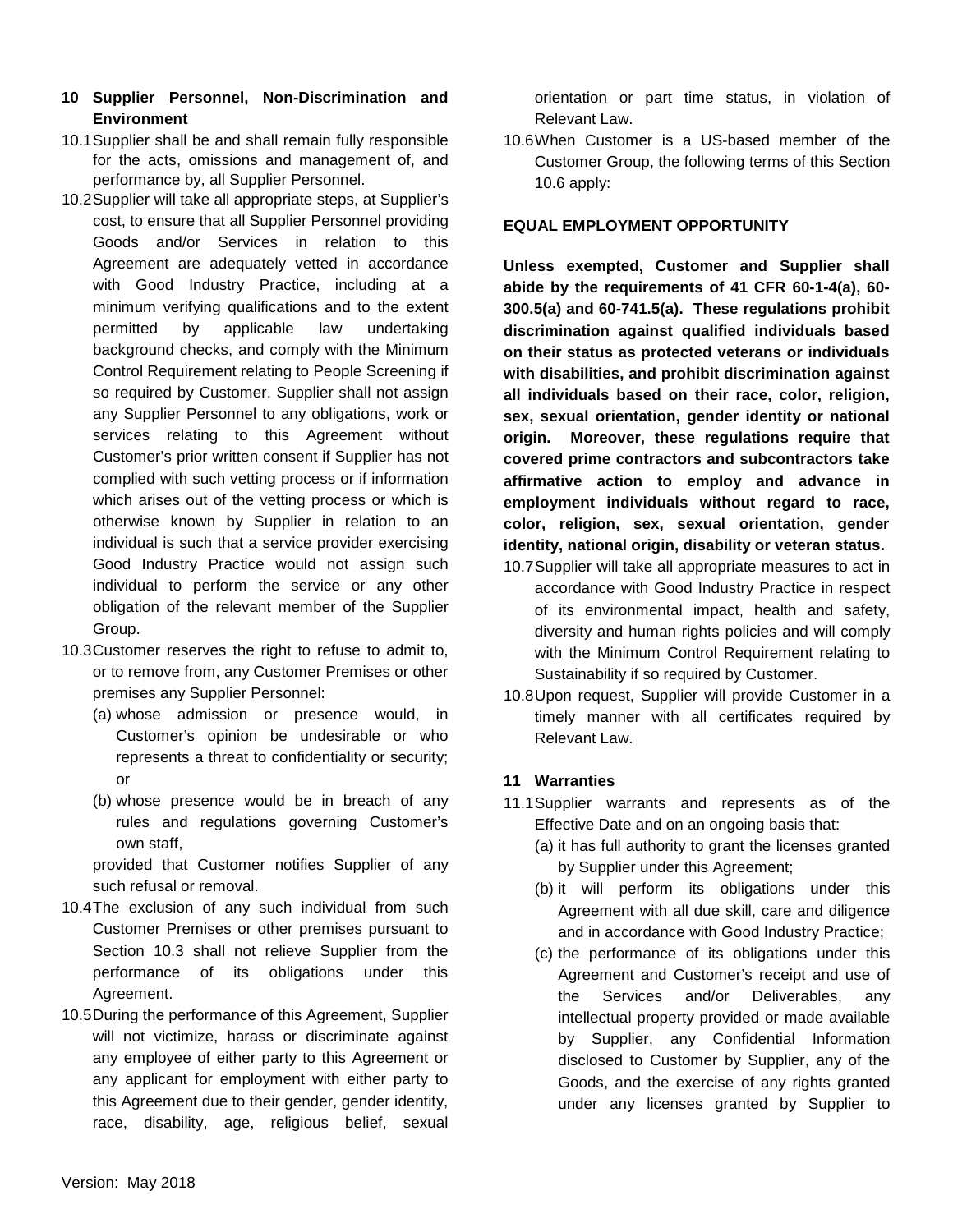### **10 Supplier Personnel, Non-Discrimination and Environment**

- 10.1 Supplier shall be and shall remain fully responsible for the acts, omissions and management of, and performance by, all Supplier Personnel.
- 10.2 Supplier will take all appropriate steps, at Supplier's cost, to ensure that all Supplier Personnel providing Goods and/or Services in relation to this Agreement are adequately vetted in accordance with Good Industry Practice, including at a minimum verifying qualifications and to the extent permitted by applicable law undertaking background checks, and comply with the Minimum Control Requirement relating to People Screening if so required by Customer. Supplier shall not assign any Supplier Personnel to any obligations, work or services relating to this Agreement without Customer's prior written consent if Supplier has not complied with such vetting process or if information which arises out of the vetting process or which is otherwise known by Supplier in relation to an individual is such that a service provider exercising Good Industry Practice would not assign such individual to perform the service or any other obligation of the relevant member of the Supplier Group.
- 10.3 Customer reserves the right to refuse to admit to, or to remove from, any Customer Premises or other premises any Supplier Personnel:
	- (a) whose admission or presence would, in Customer's opinion be undesirable or who represents a threat to confidentiality or security; or
	- (b) whose presence would be in breach of any rules and regulations governing Customer's own staff,

provided that Customer notifies Supplier of any such refusal or removal.

- 10.4 The exclusion of any such individual from such Customer Premises or other premises pursuant to Section 10.3 shall not relieve Supplier from the performance of its obligations under this Agreement.
- 10.5 During the performance of this Agreement, Supplier will not victimize, harass or discriminate against any employee of either party to this Agreement or any applicant for employment with either party to this Agreement due to their gender, gender identity, race, disability, age, religious belief, sexual

orientation or part time status, in violation of Relevant Law.

10.6 When Customer is a US-based member of the Customer Group, the following terms of this Section 10.6 apply:

# **EQUAL EMPLOYMENT OPPORTUNITY**

**Unless exempted, Customer and Supplier shall abide by the requirements of 41 CFR 60-1-4(a), 60- 300.5(a) and 60-741.5(a). These regulations prohibit discrimination against qualified individuals based on their status as protected veterans or individuals with disabilities, and prohibit discrimination against all individuals based on their race, color, religion, sex, sexual orientation, gender identity or national origin. Moreover, these regulations require that covered prime contractors and subcontractors take affirmative action to employ and advance in employment individuals without regard to race, color, religion, sex, sexual orientation, gender identity, national origin, disability or veteran status.** 

- 10.7 Supplier will take all appropriate measures to act in accordance with Good Industry Practice in respect of its environmental impact, health and safety, diversity and human rights policies and will comply with the Minimum Control Requirement relating to Sustainability if so required by Customer.
- 10.8 Upon request, Supplier will provide Customer in a timely manner with all certificates required by Relevant Law.

#### **11 Warranties**

- 11.1 Supplier warrants and represents as of the Effective Date and on an ongoing basis that:
	- (a) it has full authority to grant the licenses granted by Supplier under this Agreement;
	- (b) it will perform its obligations under this Agreement with all due skill, care and diligence and in accordance with Good Industry Practice;
	- (c) the performance of its obligations under this Agreement and Customer's receipt and use of the Services and/or Deliverables, any intellectual property provided or made available by Supplier, any Confidential Information disclosed to Customer by Supplier, any of the Goods, and the exercise of any rights granted under any licenses granted by Supplier to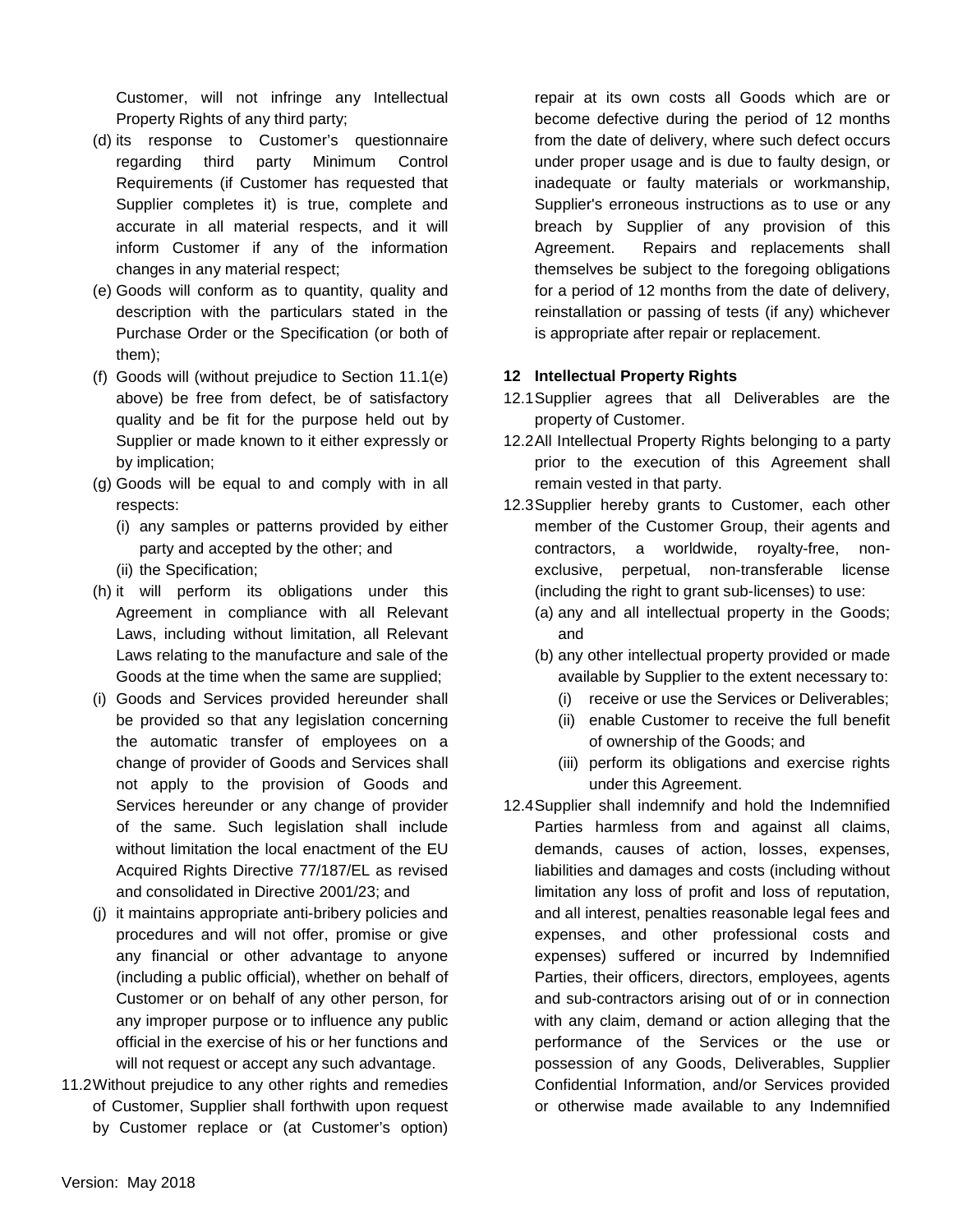Customer, will not infringe any Intellectual Property Rights of any third party;

- (d) its response to Customer's questionnaire regarding third party Minimum Control Requirements (if Customer has requested that Supplier completes it) is true, complete and accurate in all material respects, and it will inform Customer if any of the information changes in any material respect;
- (e) Goods will conform as to quantity, quality and description with the particulars stated in the Purchase Order or the Specification (or both of them);
- (f) Goods will (without prejudice to Section 11.1(e) above) be free from defect, be of satisfactory quality and be fit for the purpose held out by Supplier or made known to it either expressly or by implication;
- (g) Goods will be equal to and comply with in all respects:
	- (i) any samples or patterns provided by either party and accepted by the other; and
	- (ii) the Specification;
- (h) it will perform its obligations under this Agreement in compliance with all Relevant Laws, including without limitation, all Relevant Laws relating to the manufacture and sale of the Goods at the time when the same are supplied;
- (i) Goods and Services provided hereunder shall be provided so that any legislation concerning the automatic transfer of employees on a change of provider of Goods and Services shall not apply to the provision of Goods and Services hereunder or any change of provider of the same. Such legislation shall include without limitation the local enactment of the EU Acquired Rights Directive 77/187/EL as revised and consolidated in Directive 2001/23; and
- (j) it maintains appropriate anti-bribery policies and procedures and will not offer, promise or give any financial or other advantage to anyone (including a public official), whether on behalf of Customer or on behalf of any other person, for any improper purpose or to influence any public official in the exercise of his or her functions and will not request or accept any such advantage.
- 11.2 Without prejudice to any other rights and remedies of Customer, Supplier shall forthwith upon request by Customer replace or (at Customer's option)

repair at its own costs all Goods which are or become defective during the period of 12 months from the date of delivery, where such defect occurs under proper usage and is due to faulty design, or inadequate or faulty materials or workmanship, Supplier's erroneous instructions as to use or any breach by Supplier of any provision of this Agreement. Repairs and replacements shall themselves be subject to the foregoing obligations for a period of 12 months from the date of delivery, reinstallation or passing of tests (if any) whichever is appropriate after repair or replacement.

# **12 Intellectual Property Rights**

- 12.1 Supplier agrees that all Deliverables are the property of Customer.
- 12.2 All Intellectual Property Rights belonging to a party prior to the execution of this Agreement shall remain vested in that party.
- 12.3 Supplier hereby grants to Customer, each other member of the Customer Group, their agents and contractors, a worldwide, royalty-free, nonexclusive, perpetual, non-transferable license (including the right to grant sub-licenses) to use:
	- (a) any and all intellectual property in the Goods; and
	- (b) any other intellectual property provided or made available by Supplier to the extent necessary to:
		- (i) receive or use the Services or Deliverables;
		- (ii) enable Customer to receive the full benefit of ownership of the Goods; and
		- (iii) perform its obligations and exercise rights under this Agreement.
- 12.4 Supplier shall indemnify and hold the Indemnified Parties harmless from and against all claims, demands, causes of action, losses, expenses, liabilities and damages and costs (including without limitation any loss of profit and loss of reputation, and all interest, penalties reasonable legal fees and expenses, and other professional costs and expenses) suffered or incurred by Indemnified Parties, their officers, directors, employees, agents and sub-contractors arising out of or in connection with any claim, demand or action alleging that the performance of the Services or the use or possession of any Goods, Deliverables, Supplier Confidential Information, and/or Services provided or otherwise made available to any Indemnified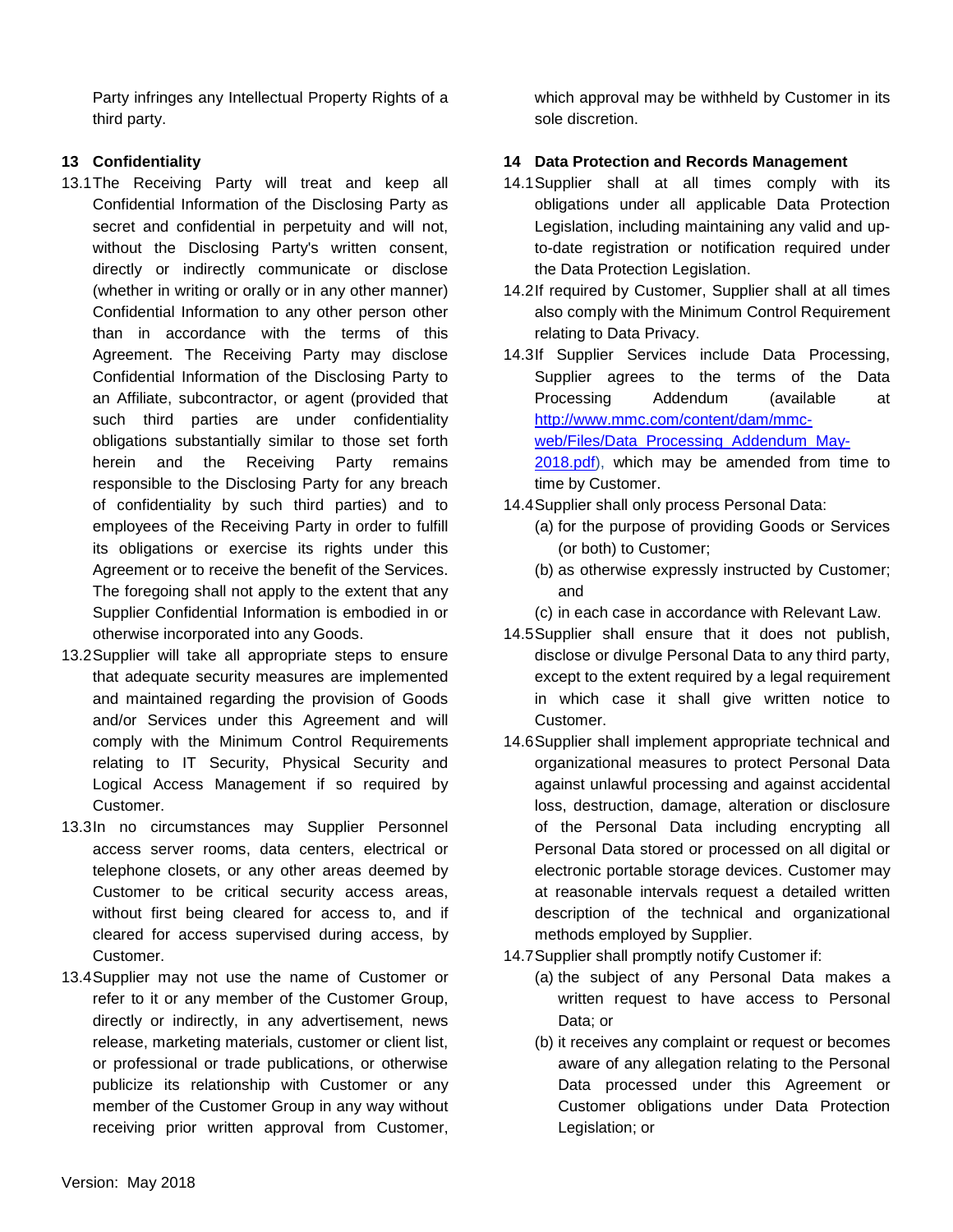Party infringes any Intellectual Property Rights of a third party.

# **13 Confidentiality**

- 13.1 The Receiving Party will treat and keep all Confidential Information of the Disclosing Party as secret and confidential in perpetuity and will not, without the Disclosing Party's written consent, directly or indirectly communicate or disclose (whether in writing or orally or in any other manner) Confidential Information to any other person other than in accordance with the terms of this Agreement. The Receiving Party may disclose Confidential Information of the Disclosing Party to an Affiliate, subcontractor, or agent (provided that such third parties are under confidentiality obligations substantially similar to those set forth herein and the Receiving Party remains responsible to the Disclosing Party for any breach of confidentiality by such third parties) and to employees of the Receiving Party in order to fulfill its obligations or exercise its rights under this Agreement or to receive the benefit of the Services. The foregoing shall not apply to the extent that any Supplier Confidential Information is embodied in or otherwise incorporated into any Goods.
- 13.2 Supplier will take all appropriate steps to ensure that adequate security measures are implemented and maintained regarding the provision of Goods and/or Services under this Agreement and will comply with the Minimum Control Requirements relating to IT Security, Physical Security and Logical Access Management if so required by Customer.
- 13.3 In no circumstances may Supplier Personnel access server rooms, data centers, electrical or telephone closets, or any other areas deemed by Customer to be critical security access areas, without first being cleared for access to, and if cleared for access supervised during access, by Customer.
- 13.4 Supplier may not use the name of Customer or refer to it or any member of the Customer Group, directly or indirectly, in any advertisement, news release, marketing materials, customer or client list, or professional or trade publications, or otherwise publicize its relationship with Customer or any member of the Customer Group in any way without receiving prior written approval from Customer,

which approval may be withheld by Customer in its sole discretion.

# **14 Data Protection and Records Management**

- 14.1 Supplier shall at all times comply with its obligations under all applicable Data Protection Legislation, including maintaining any valid and upto-date registration or notification required under the Data Protection Legislation.
- 14.2 If required by Customer, Supplier shall at all times also comply with the Minimum Control Requirement relating to Data Privacy.
- 14.3 If Supplier Services include Data Processing, Supplier agrees to the terms of the Data Processing Addendum (available at http://www.mmc.com/content/dam/mmcweb/Files/Data\_Processing\_Addendum\_May-2018.pdf), which may be amended from time to time by Customer.
- 14.4 Supplier shall only process Personal Data:
	- (a) for the purpose of providing Goods or Services (or both) to Customer;
	- (b) as otherwise expressly instructed by Customer; and
	- (c) in each case in accordance with Relevant Law.
- 14.5 Supplier shall ensure that it does not publish, disclose or divulge Personal Data to any third party, except to the extent required by a legal requirement in which case it shall give written notice to Customer.
- 14.6 Supplier shall implement appropriate technical and organizational measures to protect Personal Data against unlawful processing and against accidental loss, destruction, damage, alteration or disclosure of the Personal Data including encrypting all Personal Data stored or processed on all digital or electronic portable storage devices. Customer may at reasonable intervals request a detailed written description of the technical and organizational methods employed by Supplier.
- 14.7 Supplier shall promptly notify Customer if:
	- (a) the subject of any Personal Data makes a written request to have access to Personal Data; or
	- (b) it receives any complaint or request or becomes aware of any allegation relating to the Personal Data processed under this Agreement or Customer obligations under Data Protection Legislation; or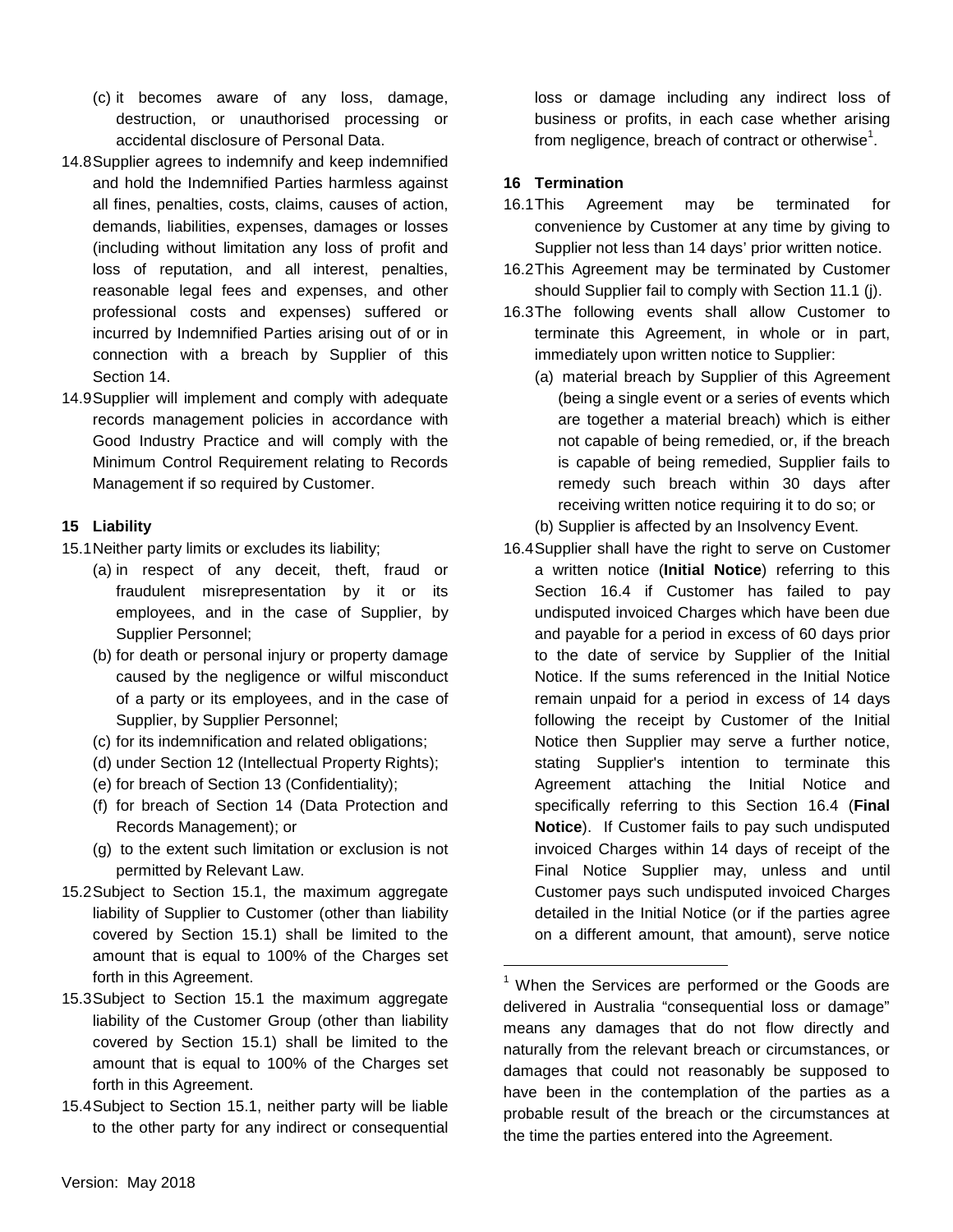- (c) it becomes aware of any loss, damage, destruction, or unauthorised processing or accidental disclosure of Personal Data.
- 14.8 Supplier agrees to indemnify and keep indemnified and hold the Indemnified Parties harmless against all fines, penalties, costs, claims, causes of action, demands, liabilities, expenses, damages or losses (including without limitation any loss of profit and loss of reputation, and all interest, penalties, reasonable legal fees and expenses, and other professional costs and expenses) suffered or incurred by Indemnified Parties arising out of or in connection with a breach by Supplier of this Section 14.
- 14.9 Supplier will implement and comply with adequate records management policies in accordance with Good Industry Practice and will comply with the Minimum Control Requirement relating to Records Management if so required by Customer.

#### **15 Liability**

- 15.1 Neither party limits or excludes its liability;
	- (a) in respect of any deceit, theft, fraud or fraudulent misrepresentation by it or its employees, and in the case of Supplier, by Supplier Personnel;
	- (b) for death or personal injury or property damage caused by the negligence or wilful misconduct of a party or its employees, and in the case of Supplier, by Supplier Personnel;
	- (c) for its indemnification and related obligations;
	- (d) under Section 12 (Intellectual Property Rights);
	- (e) for breach of Section 13 (Confidentiality);
	- (f) for breach of Section 14 (Data Protection and Records Management); or
	- (g) to the extent such limitation or exclusion is not permitted by Relevant Law.
- 15.2 Subject to Section 15.1, the maximum aggregate liability of Supplier to Customer (other than liability covered by Section 15.1) shall be limited to the amount that is equal to 100% of the Charges set forth in this Agreement.
- 15.3 Subject to Section 15.1 the maximum aggregate liability of the Customer Group (other than liability covered by Section 15.1) shall be limited to the amount that is equal to 100% of the Charges set forth in this Agreement.
- 15.4 Subject to Section 15.1, neither party will be liable to the other party for any indirect or consequential

loss or damage including any indirect loss of business or profits, in each case whether arising from negligence, breach of contract or otherwise<sup>1</sup>.

# **16 Termination**

- 16.1 This Agreement may be terminated for convenience by Customer at any time by giving to Supplier not less than 14 days' prior written notice.
- 16.2 This Agreement may be terminated by Customer should Supplier fail to comply with Section 11.1 (j).
- 16.3 The following events shall allow Customer to terminate this Agreement, in whole or in part, immediately upon written notice to Supplier:
	- (a) material breach by Supplier of this Agreement (being a single event or a series of events which are together a material breach) which is either not capable of being remedied, or, if the breach is capable of being remedied, Supplier fails to remedy such breach within 30 days after receiving written notice requiring it to do so; or
	- (b) Supplier is affected by an Insolvency Event.
- 16.4 Supplier shall have the right to serve on Customer a written notice (**Initial Notice**) referring to this Section 16.4 if Customer has failed to pay undisputed invoiced Charges which have been due and payable for a period in excess of 60 days prior to the date of service by Supplier of the Initial Notice. If the sums referenced in the Initial Notice remain unpaid for a period in excess of 14 days following the receipt by Customer of the Initial Notice then Supplier may serve a further notice, stating Supplier's intention to terminate this Agreement attaching the Initial Notice and specifically referring to this Section 16.4 (**Final Notice**). If Customer fails to pay such undisputed invoiced Charges within 14 days of receipt of the Final Notice Supplier may, unless and until Customer pays such undisputed invoiced Charges detailed in the Initial Notice (or if the parties agree on a different amount, that amount), serve notice

l

<sup>&</sup>lt;sup>1</sup> When the Services are performed or the Goods are delivered in Australia "consequential loss or damage" means any damages that do not flow directly and naturally from the relevant breach or circumstances, or damages that could not reasonably be supposed to have been in the contemplation of the parties as a probable result of the breach or the circumstances at the time the parties entered into the Agreement.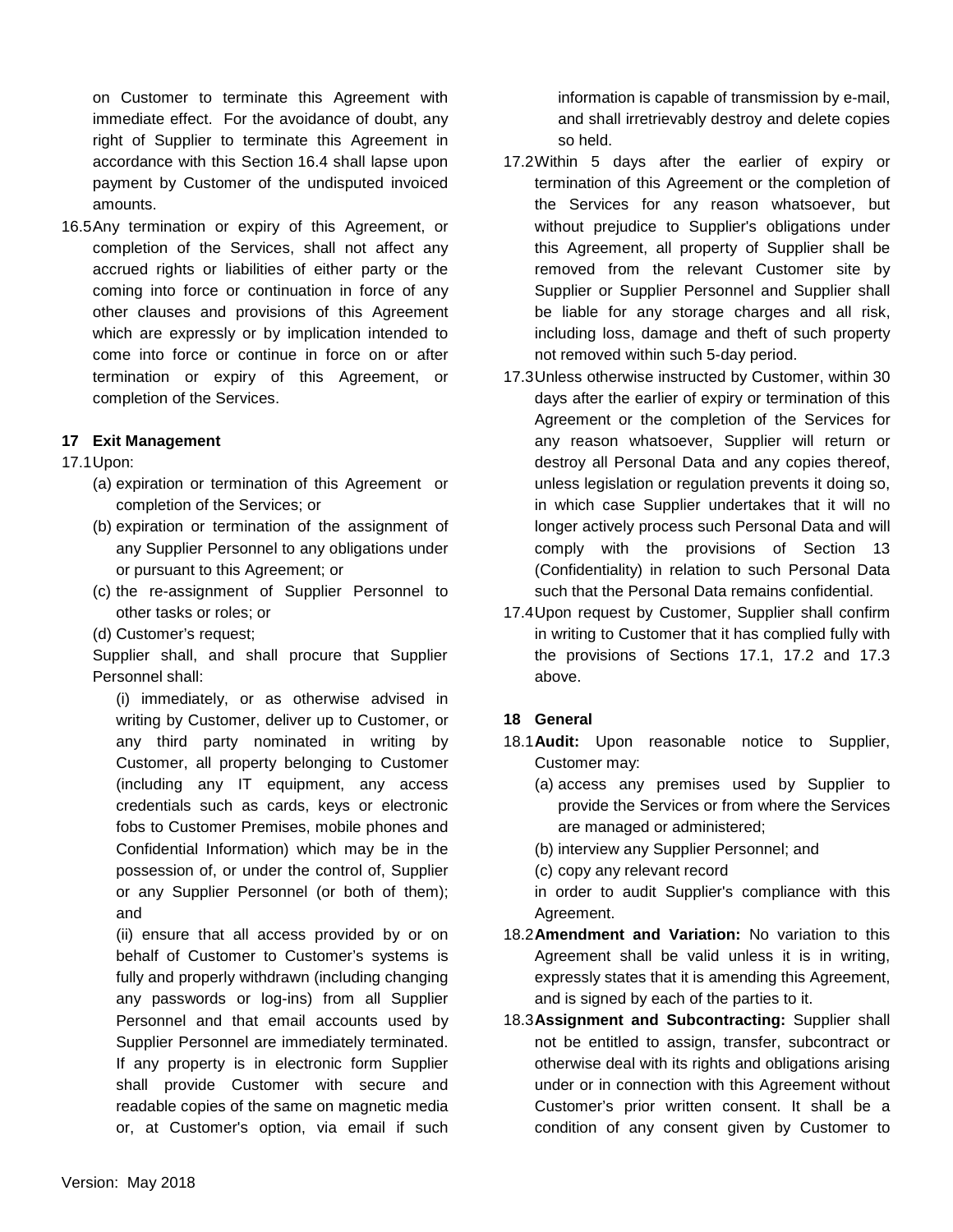on Customer to terminate this Agreement with immediate effect. For the avoidance of doubt, any right of Supplier to terminate this Agreement in accordance with this Section 16.4 shall lapse upon payment by Customer of the undisputed invoiced amounts.

16.5 Any termination or expiry of this Agreement, or completion of the Services, shall not affect any accrued rights or liabilities of either party or the coming into force or continuation in force of any other clauses and provisions of this Agreement which are expressly or by implication intended to come into force or continue in force on or after termination or expiry of this Agreement, or completion of the Services.

#### **17 Exit Management**

#### 17.1 Upon:

- (a) expiration or termination of this Agreement or completion of the Services; or
- (b) expiration or termination of the assignment of any Supplier Personnel to any obligations under or pursuant to this Agreement; or
- (c) the re-assignment of Supplier Personnel to other tasks or roles; or
- (d) Customer's request;

Supplier shall, and shall procure that Supplier Personnel shall:

(i) immediately, or as otherwise advised in writing by Customer, deliver up to Customer, or any third party nominated in writing by Customer, all property belonging to Customer (including any IT equipment, any access credentials such as cards, keys or electronic fobs to Customer Premises, mobile phones and Confidential Information) which may be in the possession of, or under the control of, Supplier or any Supplier Personnel (or both of them); and

(ii) ensure that all access provided by or on behalf of Customer to Customer's systems is fully and properly withdrawn (including changing any passwords or log-ins) from all Supplier Personnel and that email accounts used by Supplier Personnel are immediately terminated. If any property is in electronic form Supplier shall provide Customer with secure and readable copies of the same on magnetic media or, at Customer's option, via email if such information is capable of transmission by e-mail, and shall irretrievably destroy and delete copies so held.

- 17.2 Within 5 days after the earlier of expiry or termination of this Agreement or the completion of the Services for any reason whatsoever, but without prejudice to Supplier's obligations under this Agreement, all property of Supplier shall be removed from the relevant Customer site by Supplier or Supplier Personnel and Supplier shall be liable for any storage charges and all risk, including loss, damage and theft of such property not removed within such 5-day period.
- 17.3 Unless otherwise instructed by Customer, within 30 days after the earlier of expiry or termination of this Agreement or the completion of the Services for any reason whatsoever, Supplier will return or destroy all Personal Data and any copies thereof, unless legislation or regulation prevents it doing so, in which case Supplier undertakes that it will no longer actively process such Personal Data and will comply with the provisions of Section 13 (Confidentiality) in relation to such Personal Data such that the Personal Data remains confidential.
- 17.4 Upon request by Customer, Supplier shall confirm in writing to Customer that it has complied fully with the provisions of Sections 17.1, 17.2 and 17.3 above.

#### **18 General**

- 18.1 **Audit:** Upon reasonable notice to Supplier, Customer may:
	- (a) access any premises used by Supplier to provide the Services or from where the Services are managed or administered;
	- (b) interview any Supplier Personnel; and
	- (c) copy any relevant record

in order to audit Supplier's compliance with this Agreement.

- 18.2 **Amendment and Variation:** No variation to this Agreement shall be valid unless it is in writing, expressly states that it is amending this Agreement, and is signed by each of the parties to it.
- 18.3 **Assignment and Subcontracting:** Supplier shall not be entitled to assign, transfer, subcontract or otherwise deal with its rights and obligations arising under or in connection with this Agreement without Customer's prior written consent. It shall be a condition of any consent given by Customer to